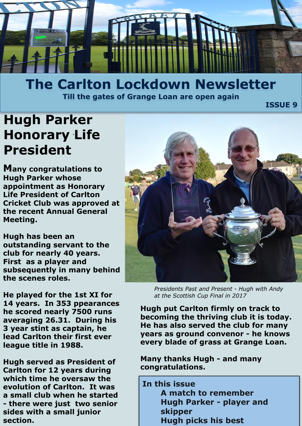

## **The Carlton Lockdown Newsletter Till the gates of Grange Loan are open again**

ا **ISSUE 9 بالتاريخ المسافر المسافر المسافر المسافر المسافر المسافر المسافر المسافر المسافر المسافر المسافر ال** 

# *.* **Honorary Life Hugh Parker President**

**Many congratulations to Hugh Parker whose appointment as Honorary Life President of Carlton Cricket Club was approved at the recent Annual General Meeting.**

**Hugh has been an outstanding servant to the club for nearly 40 years. First as a player and subsequently in many behind the scenes roles.** 

**He played for the 1st XI for 14 years. In 353 ppearances he scored nearly 7500 runs averaging 26.31. During his 3 year stint as captain, he lead Carlton their first ever league title in 1988.** 

**Hugh served as President of Carlton for 12 years during which time he oversaw the evolution of Carlton. It was a small club when he started - there were just two senior sides with a small junior section.** 



*Presidents Past and Present - Hugh with Andy at the Scottish Cup Final in 2017*

**Hugh put Carlton firmly on track to becoming the thriving club it is today. He has also served the club for many years as ground convenor - he knows every blade of grass at Grange Loan.** 

**Many thanks Hugh - and many congratulations.** 

**In this issue A match to remember Hugh Parker - player and skipper Hugh picks his best**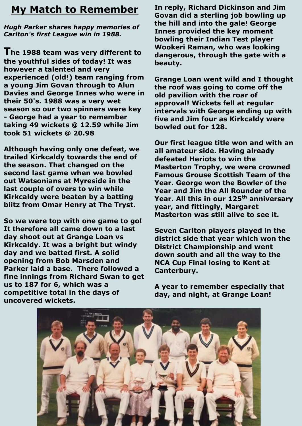## **My Match to Remember**

*Hugh Parker shares happy memories of Carlton's first League win in 1988.*

**The 1988 team was very different to the youthful sides of today! It was however a talented and very experienced (old!) team ranging from a young Jim Govan through to Alun Davies and George Innes who were in their 50's. 1988 was a very wet season so our two spinners were key - George had a year to remember taking 49 wickets @ 12.59 while Jim took 51 wickets @ 20.98**

**Although having only one defeat, we trailed Kirkcaldy towards the end of the season. That changed on the second last game when we bowled out Watsonians at Myreside in the last couple of overs to win while Kirkcaldy were beaten by a batting blitz from Omar Henry at The Tryst.**

**So we were top with one game to go! It therefore all came down to a last day shoot out at Grange Loan vs Kirkcaldy. It was a bright but windy day and we batted first. A solid opening from Bob Marsden and Parker laid a base. There followed a fine innings from Richard Swan to get us to 187 for 6, which was a competitive total in the days of uncovered wickets.**

**In reply, Richard Dickinson and Jim Govan did a sterling job bowling up the hill and into the gale! George Innes provided the key moment bowling their Indian Test player Wookeri Raman, who was looking dangerous, through the gate with a beauty.**

**Grange Loan went wild and I thought the roof was going to come off the old pavilion with the roar of approval! Wickets fell at regular intervals with George ending up with five and Jim four as Kirkcaldy were bowled out for 128.**

**Our first league title won and with an all amateur side. Having already defeated Heriots to win the Masterton Trophy, we were crowned Famous Grouse Scottish Team of the Year. George won the Bowler of the Year and Jim the All Rounder of the Year. All this in our 125th anniversary year, and fittingly, Margaret Masterton was still alive to see it.** 

**Seven Carlton players played in the district side that year which won the District Championship and went down south and all the way to the NCA Cup Final losing to Kent at Canterbury.**

**A year to remember especially that day, and night, at Grange Loan!**

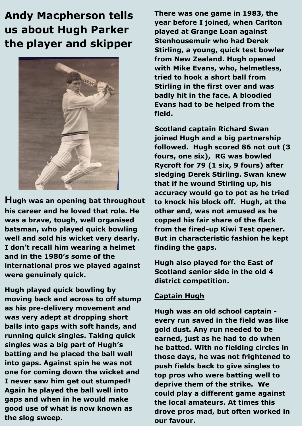## **Andy Macpherson tells us about Hugh Parker the player and skipper**



**Hugh was an opening bat throughout his career and he loved that role. He was a brave, tough, well organised batsman, who played quick bowling well and sold his wicket very dearly. I don't recall him wearing a helmet and in the 1980's some of the international pros we played against were genuinely quick.**

**Hugh played quick bowling by moving back and across to off stump as his pre-delivery movement and was very adept at dropping short balls into gaps with soft hands, and running quick singles. Taking quick singles was a big part of Hugh's batting and he placed the ball well into gaps. Against spin he was not one for coming down the wicket and I never saw him get out stumped! Again he played the ball well into gaps and when in he would make good use of what is now known as the slog sweep.**

**There was one game in 1983, the year before I joined, when Carlton played at Grange Loan against Stenhousemuir who had Derek Stirling, a young, quick test bowler from New Zealand. Hugh opened with Mike Evans, who, helmetless, tried to hook a short ball from Stirling in the first over and was badly hit in the face. A bloodied Evans had to be helped from the field.** 

**Scotland captain Richard Swan joined Hugh and a big partnership followed. Hugh scored 86 not out (3 fours, one six), RG was bowled Rycroft for 79 (1 six, 9 fours) after sledging Derek Stirling. Swan knew that if he wound Stirling up, his accuracy would go to pot as he tried to knock his block off. Hugh, at the other end, was not amused as he copped his fair share of the flack from the fired-up Kiwi Test opener. But in characteristic fashion he kept finding the gaps.**

**Hugh also played for the East of Scotland senior side in the old 4 district competition.**

#### **Captain Hugh**

**Hugh was an old school captain every run saved in the field was like gold dust. Any run needed to be earned, just as he had to do when he batted. With no fielding circles in those days, he was not frightened to push fields back to give singles to top pros who were batting well to deprive them of the strike. We could play a different game against the local amateurs. At times this drove pros mad, but often worked in our favour.**